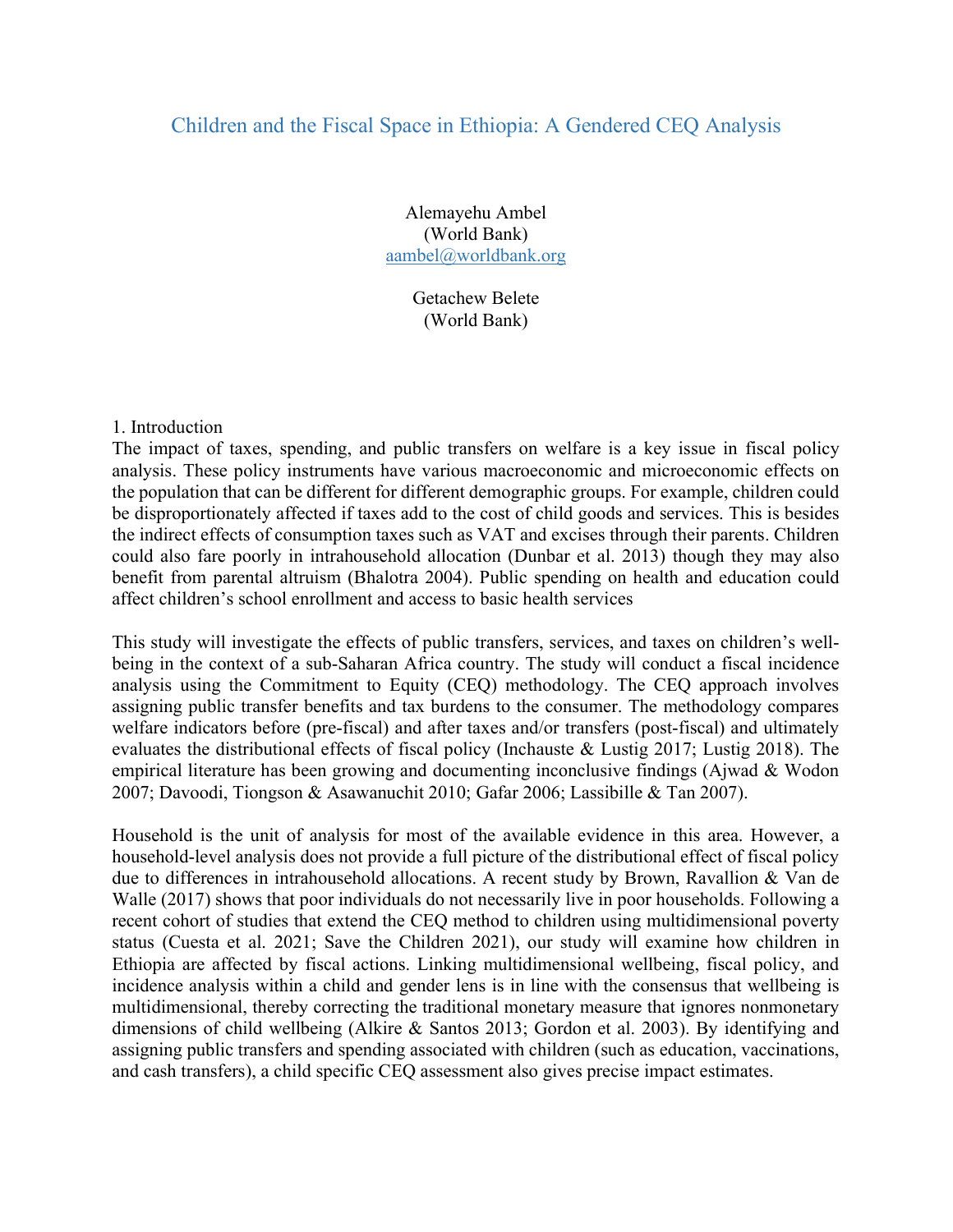# Children and the Fiscal Space in Ethiopia: A Gendered CEQ Analysis

Alemayehu Ambel (World Bank) aambel@worldbank.org

> Getachew Belete (World Bank)

#### 1. Introduction

The impact of taxes, spending, and public transfers on welfare is a key issue in fiscal policy analysis. These policy instruments have various macroeconomic and microeconomic effects on the population that can be different for different demographic groups. For example, children could be disproportionately affected if taxes add to the cost of child goods and services. This is besides the indirect effects of consumption taxes such as VAT and excises through their parents. Children could also fare poorly in intrahousehold allocation (Dunbar et al. 2013) though they may also benefit from parental altruism (Bhalotra 2004). Public spending on health and education could affect children's school enrollment and access to basic health services

This study will investigate the effects of public transfers, services, and taxes on children's wellbeing in the context of a sub-Saharan Africa country. The study will conduct a fiscal incidence analysis using the Commitment to Equity (CEQ) methodology. The CEQ approach involves assigning public transfer benefits and tax burdens to the consumer. The methodology compares welfare indicators before (pre-fiscal) and after taxes and/or transfers (post-fiscal) and ultimately evaluates the distributional effects of fiscal policy (Inchauste & Lustig 2017; Lustig 2018). The empirical literature has been growing and documenting inconclusive findings (Ajwad & Wodon 2007; Davoodi, Tiongson & Asawanuchit 2010; Gafar 2006; Lassibille & Tan 2007).

Household is the unit of analysis for most of the available evidence in this area. However, a household-level analysis does not provide a full picture of the distributional effect of fiscal policy due to differences in intrahousehold allocations. A recent study by Brown, Ravallion & Van de Walle (2017) shows that poor individuals do not necessarily live in poor households. Following a recent cohort of studies that extend the CEQ method to children using multidimensional poverty status (Cuesta et al. 2021; Save the Children 2021), our study will examine how children in Ethiopia are affected by fiscal actions. Linking multidimensional wellbeing, fiscal policy, and incidence analysis within a child and gender lens is in line with the consensus that wellbeing is multidimensional, thereby correcting the traditional monetary measure that ignores nonmonetary dimensions of child wellbeing (Alkire & Santos 2013; Gordon et al. 2003). By identifying and assigning public transfers and spending associated with children (such as education, vaccinations, and cash transfers), a child specific CEQ assessment also gives precise impact estimates.